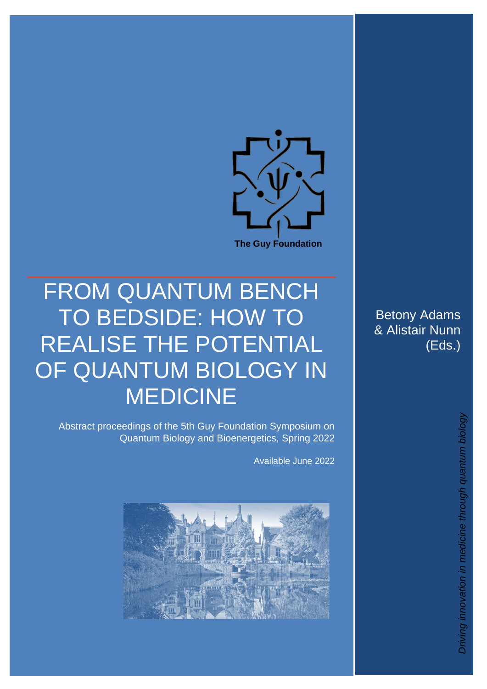

# FROM QUANTUM BENCH TO BEDSIDE: HOW TO REALISE THE POTENTIAL OF QUANTUM BIOLOGY IN MEDICINE

Abstract proceedings of the 5th Guy Foundation Symposium on Quantum Biology and Bioenergetics, Spring 2022

Available June 2022



Betony Adams & Alistair Nunn (Eds.)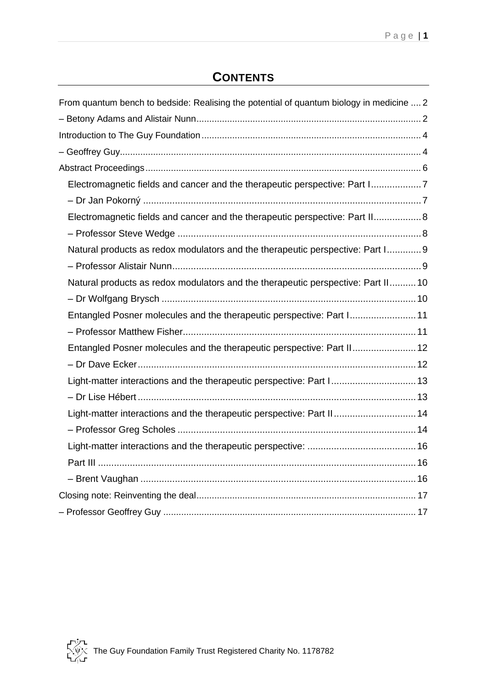# **CONTENTS**

| From quantum bench to bedside: Realising the potential of quantum biology in medicine  2 |
|------------------------------------------------------------------------------------------|
|                                                                                          |
|                                                                                          |
|                                                                                          |
|                                                                                          |
| Electromagnetic fields and cancer and the therapeutic perspective: Part I7               |
|                                                                                          |
| Electromagnetic fields and cancer and the therapeutic perspective: Part II 8             |
|                                                                                          |
| Natural products as redox modulators and the therapeutic perspective: Part I9            |
|                                                                                          |
| Natural products as redox modulators and the therapeutic perspective: Part II 10         |
|                                                                                          |
| Entangled Posner molecules and the therapeutic perspective: Part I 11                    |
|                                                                                          |
| Entangled Posner molecules and the therapeutic perspective: Part II 12                   |
|                                                                                          |
| Light-matter interactions and the therapeutic perspective: Part I 13                     |
|                                                                                          |
| Light-matter interactions and the therapeutic perspective: Part II 14                    |
|                                                                                          |
|                                                                                          |
|                                                                                          |
|                                                                                          |
|                                                                                          |
|                                                                                          |

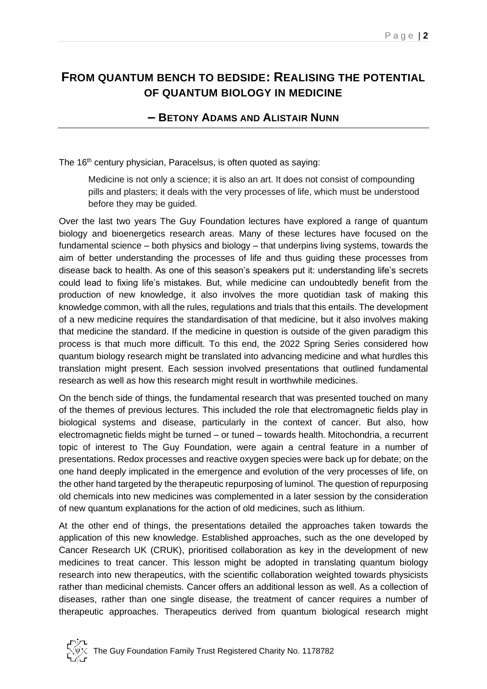# <span id="page-2-1"></span><span id="page-2-0"></span>**FROM QUANTUM BENCH TO BEDSIDE: REALISING THE POTENTIAL OF QUANTUM BIOLOGY IN MEDICINE**

#### **– BETONY ADAMS AND ALISTAIR NUNN**

The 16<sup>th</sup> century physician, Paracelsus, is often quoted as saying:

Medicine is not only a science; it is also an art. It does not consist of compounding pills and plasters; it deals with the very processes of life, which must be understood before they may be guided.

Over the last two years The Guy Foundation lectures have explored a range of quantum biology and bioenergetics research areas. Many of these lectures have focused on the fundamental science – both physics and biology – that underpins living systems, towards the aim of better understanding the processes of life and thus guiding these processes from disease back to health. As one of this season's speakers put it: understanding life's secrets could lead to fixing life's mistakes. But, while medicine can undoubtedly benefit from the production of new knowledge, it also involves the more quotidian task of making this knowledge common, with all the rules, regulations and trials that this entails. The development of a new medicine requires the standardisation of that medicine, but it also involves making that medicine the standard. If the medicine in question is outside of the given paradigm this process is that much more difficult. To this end, the 2022 Spring Series considered how quantum biology research might be translated into advancing medicine and what hurdles this translation might present. Each session involved presentations that outlined fundamental research as well as how this research might result in worthwhile medicines.

On the bench side of things, the fundamental research that was presented touched on many of the themes of previous lectures. This included the role that electromagnetic fields play in biological systems and disease, particularly in the context of cancer. But also, how electromagnetic fields might be turned – or tuned – towards health. Mitochondria, a recurrent topic of interest to The Guy Foundation, were again a central feature in a number of presentations. Redox processes and reactive oxygen species were back up for debate; on the one hand deeply implicated in the emergence and evolution of the very processes of life, on the other hand targeted by the therapeutic repurposing of luminol. The question of repurposing old chemicals into new medicines was complemented in a later session by the consideration of new quantum explanations for the action of old medicines, such as lithium.

At the other end of things, the presentations detailed the approaches taken towards the application of this new knowledge. Established approaches, such as the one developed by Cancer Research UK (CRUK), prioritised collaboration as key in the development of new medicines to treat cancer. This lesson might be adopted in translating quantum biology research into new therapeutics, with the scientific collaboration weighted towards physicists rather than medicinal chemists. Cancer offers an additional lesson as well. As a collection of diseases, rather than one single disease, the treatment of cancer requires a number of therapeutic approaches. Therapeutics derived from quantum biological research might

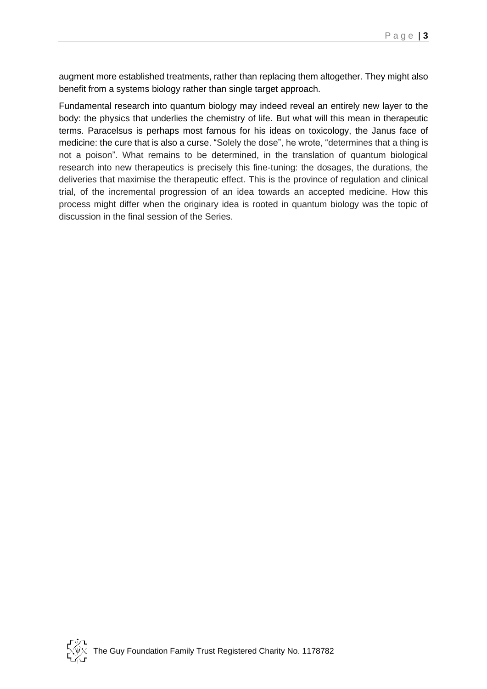augment more established treatments, rather than replacing them altogether. They might also benefit from a systems biology rather than single target approach.

Fundamental research into quantum biology may indeed reveal an entirely new layer to the body: the physics that underlies the chemistry of life. But what will this mean in therapeutic terms. Paracelsus is perhaps most famous for his ideas on toxicology, the Janus face of medicine: the cure that is also a curse. "Solely the dose", he wrote, "determines that a thing is not a poison". What remains to be determined, in the translation of quantum biological research into new therapeutics is precisely this fine-tuning: the dosages, the durations, the deliveries that maximise the therapeutic effect. This is the province of regulation and clinical trial, of the incremental progression of an idea towards an accepted medicine. How this process might differ when the originary idea is rooted in quantum biology was the topic of discussion in the final session of the Series.

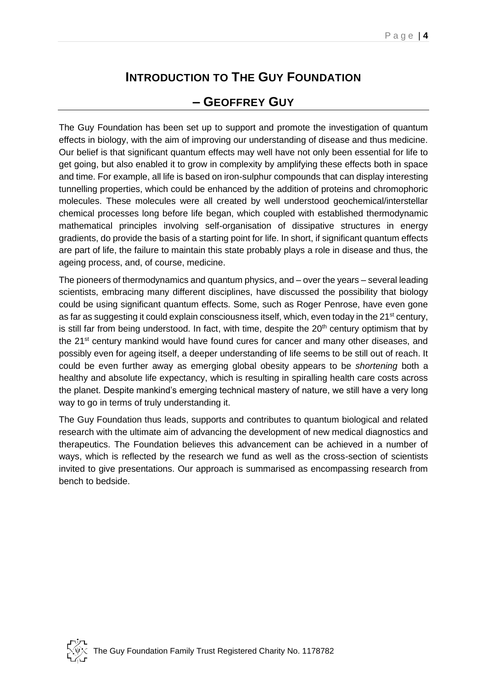# **INTRODUCTION TO THE GUY FOUNDATION**

## **– GEOFFREY GUY**

<span id="page-4-1"></span><span id="page-4-0"></span>The Guy Foundation has been set up to support and promote the investigation of quantum effects in biology, with the aim of improving our understanding of disease and thus medicine. Our belief is that significant quantum effects may well have not only been essential for life to get going, but also enabled it to grow in complexity by amplifying these effects both in space and time. For example, all life is based on iron-sulphur compounds that can display interesting tunnelling properties, which could be enhanced by the addition of proteins and chromophoric molecules. These molecules were all created by well understood geochemical/interstellar chemical processes long before life began, which coupled with established thermodynamic mathematical principles involving self-organisation of dissipative structures in energy gradients, do provide the basis of a starting point for life. In short, if significant quantum effects are part of life, the failure to maintain this state probably plays a role in disease and thus, the ageing process, and, of course, medicine.

The pioneers of thermodynamics and quantum physics, and – over the years – several leading scientists, embracing many different disciplines, have discussed the possibility that biology could be using significant quantum effects. Some, such as Roger Penrose, have even gone as far as suggesting it could explain consciousness itself, which, even today in the  $21<sup>st</sup>$  century, is still far from being understood. In fact, with time, despite the  $20<sup>th</sup>$  century optimism that by the 21<sup>st</sup> century mankind would have found cures for cancer and many other diseases, and possibly even for ageing itself, a deeper understanding of life seems to be still out of reach. It could be even further away as emerging global obesity appears to be *shortening* both a healthy and absolute life expectancy, which is resulting in spiralling health care costs across the planet. Despite mankind's emerging technical mastery of nature, we still have a very long way to go in terms of truly understanding it.

The Guy Foundation thus leads, supports and contributes to quantum biological and related research with the ultimate aim of advancing the development of new medical diagnostics and therapeutics. The Foundation believes this advancement can be achieved in a number of ways, which is reflected by the research we fund as well as the cross-section of scientists invited to give presentations. Our approach is summarised as encompassing research from bench to bedside.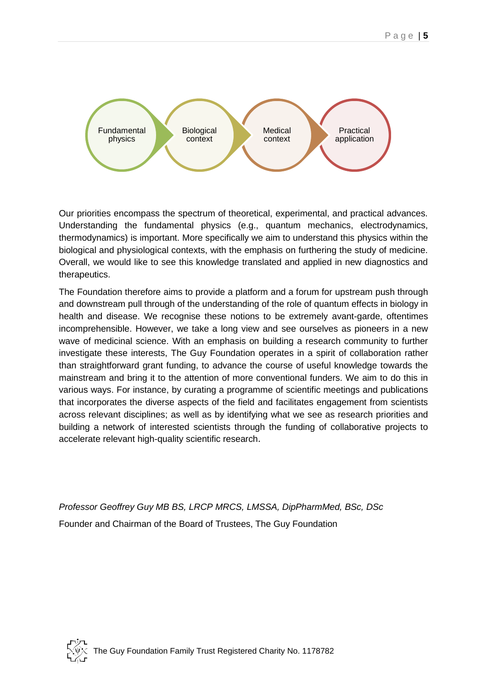

Our priorities encompass the spectrum of theoretical, experimental, and practical advances. Understanding the fundamental physics (e.g., quantum mechanics, electrodynamics, thermodynamics) is important. More specifically we aim to understand this physics within the biological and physiological contexts, with the emphasis on furthering the study of medicine. Overall, we would like to see this knowledge translated and applied in new diagnostics and therapeutics.

The Foundation therefore aims to provide a platform and a forum for upstream push through and downstream pull through of the understanding of the role of quantum effects in biology in health and disease. We recognise these notions to be extremely avant-garde, oftentimes incomprehensible. However, we take a long view and see ourselves as pioneers in a new wave of medicinal science. With an emphasis on building a research community to further investigate these interests, The Guy Foundation operates in a spirit of collaboration rather than straightforward grant funding, to advance the course of useful knowledge towards the mainstream and bring it to the attention of more conventional funders. We aim to do this in various ways. For instance, by curating a programme of scientific meetings and publications that incorporates the diverse aspects of the field and facilitates engagement from scientists across relevant disciplines; as well as by identifying what we see as research priorities and building a network of interested scientists through the funding of collaborative projects to accelerate relevant high-quality scientific research.

*Professor Geoffrey Guy MB BS, LRCP MRCS, LMSSA, DipPharmMed, BSc, DSc* Founder and Chairman of the Board of Trustees, The Guy Foundation

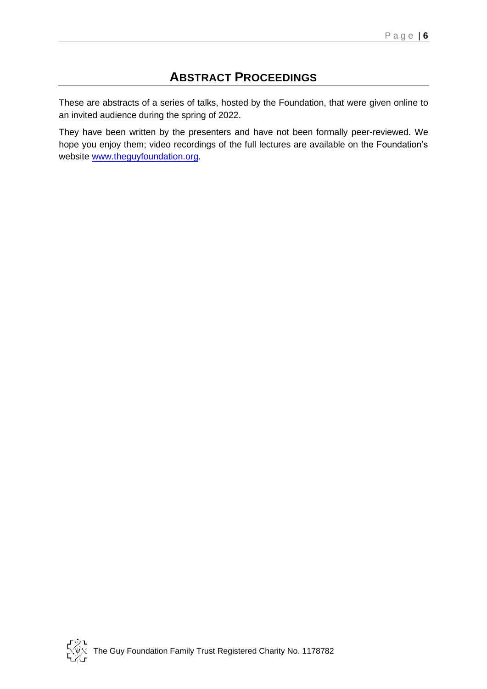## **ABSTRACT PROCEEDINGS**

<span id="page-6-0"></span>These are abstracts of a series of talks, hosted by the Foundation, that were given online to an invited audience during the spring of 2022.

They have been written by the presenters and have not been formally peer-reviewed. We hope you enjoy them; video recordings of the full lectures are available on the Foundation's website [www.theguyfoundation.org.](http://www.theguyfoundation.org/)

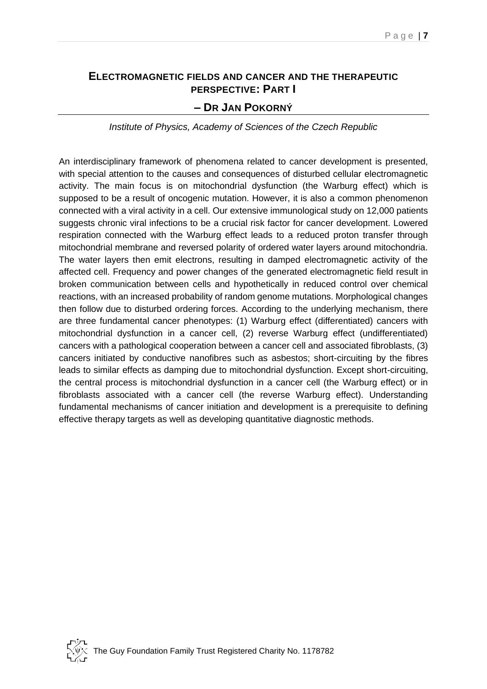## <span id="page-7-1"></span><span id="page-7-0"></span>**ELECTROMAGNETIC FIELDS AND CANCER AND THE THERAPEUTIC PERSPECTIVE: PART I – DR JAN POKORNÝ**

*Institute of Physics, Academy of Sciences of the Czech Republic* 

An interdisciplinary framework of phenomena related to cancer development is presented, with special attention to the causes and consequences of disturbed cellular electromagnetic activity. The main focus is on mitochondrial dysfunction (the Warburg effect) which is supposed to be a result of oncogenic mutation. However, it is also a common phenomenon connected with a viral activity in a cell. Our extensive immunological study on 12,000 patients suggests chronic viral infections to be a crucial risk factor for cancer development. Lowered respiration connected with the Warburg effect leads to a reduced proton transfer through mitochondrial membrane and reversed polarity of ordered water layers around mitochondria. The water layers then emit electrons, resulting in damped electromagnetic activity of the affected cell. Frequency and power changes of the generated electromagnetic field result in broken communication between cells and hypothetically in reduced control over chemical reactions, with an increased probability of random genome mutations. Morphological changes then follow due to disturbed ordering forces. According to the underlying mechanism, there are three fundamental cancer phenotypes: (1) Warburg effect (differentiated) cancers with mitochondrial dysfunction in a cancer cell, (2) reverse Warburg effect (undifferentiated) cancers with a pathological cooperation between a cancer cell and associated fibroblasts, (3) cancers initiated by conductive nanofibres such as asbestos; short-circuiting by the fibres leads to similar effects as damping due to mitochondrial dysfunction. Except short-circuiting, the central process is mitochondrial dysfunction in a cancer cell (the Warburg effect) or in fibroblasts associated with a cancer cell (the reverse Warburg effect). Understanding fundamental mechanisms of cancer initiation and development is a prerequisite to defining effective therapy targets as well as developing quantitative diagnostic methods.

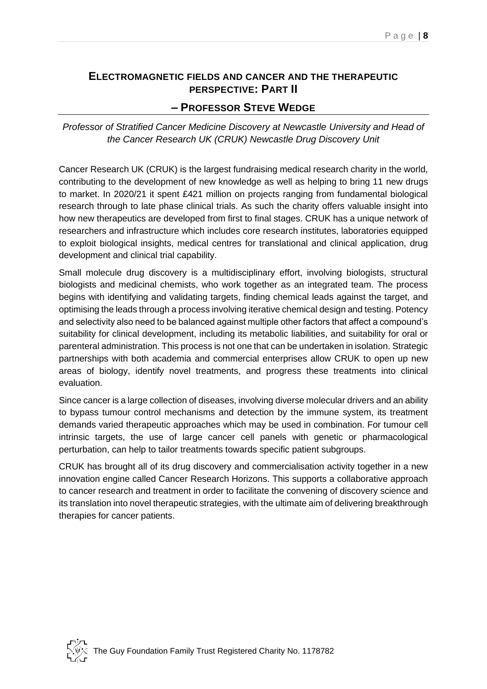# <span id="page-8-0"></span>**ELECTROMAGNETIC FIELDS AND CANCER AND THE THERAPEUTIC PERSPECTIVE: PART II**

#### **– PROFESSOR STEVE WEDGE**

<span id="page-8-1"></span>*Professor of Stratified Cancer Medicine Discovery at Newcastle University and Head of the Cancer Research UK (CRUK) Newcastle Drug Discovery Unit*

Cancer Research UK (CRUK) is the largest fundraising medical research charity in the world, contributing to the development of new knowledge as well as helping to bring 11 new drugs to market. In 2020/21 it spent £421 million on projects ranging from fundamental biological research through to late phase clinical trials. As such the charity offers valuable insight into how new therapeutics are developed from first to final stages. CRUK has a unique network of researchers and infrastructure which includes core research institutes, laboratories equipped to exploit biological insights, medical centres for translational and clinical application, drug development and clinical trial capability.

Small molecule drug discovery is a multidisciplinary effort, involving biologists, structural biologists and medicinal chemists, who work together as an integrated team. The process begins with identifying and validating targets, finding chemical leads against the target, and optimising the leads through a process involving iterative chemical design and testing. Potency and selectivity also need to be balanced against multiple other factors that affect a compound's suitability for clinical development, including its metabolic liabilities, and suitability for oral or parenteral administration. This process is not one that can be undertaken in isolation. Strategic partnerships with both academia and commercial enterprises allow CRUK to open up new areas of biology, identify novel treatments, and progress these treatments into clinical evaluation.

Since cancer is a large collection of diseases, involving diverse molecular drivers and an ability to bypass tumour control mechanisms and detection by the immune system, its treatment demands varied therapeutic approaches which may be used in combination. For tumour cell intrinsic targets, the use of large cancer cell panels with genetic or pharmacological perturbation, can help to tailor treatments towards specific patient subgroups.

CRUK has brought all of its drug discovery and commercialisation activity together in a new innovation engine called Cancer Research Horizons. This supports a collaborative approach to cancer research and treatment in order to facilitate the convening of discovery science and its translation into novel therapeutic strategies, with the ultimate aim of delivering breakthrough therapies for cancer patients.

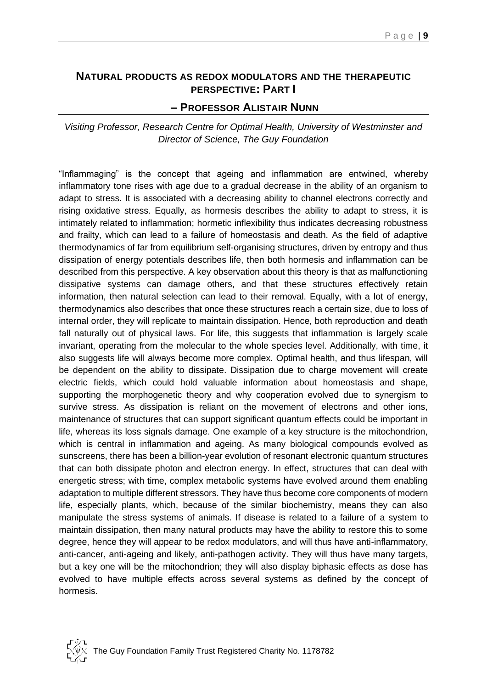#### <span id="page-9-0"></span>**NATURAL PRODUCTS AS REDOX MODULATORS AND THE THERAPEUTIC PERSPECTIVE: PART I**

#### <span id="page-9-1"></span>**– PROFESSOR ALISTAIR NUNN**

*Visiting Professor, Research Centre for Optimal Health, University of Westminster and Director of Science, The Guy Foundation*

"Inflammaging" is the concept that ageing and inflammation are entwined, whereby inflammatory tone rises with age due to a gradual decrease in the ability of an organism to adapt to stress. It is associated with a decreasing ability to channel electrons correctly and rising oxidative stress. Equally, as hormesis describes the ability to adapt to stress, it is intimately related to inflammation; hormetic inflexibility thus indicates decreasing robustness and frailty, which can lead to a failure of homeostasis and death. As the field of adaptive thermodynamics of far from equilibrium self-organising structures, driven by entropy and thus dissipation of energy potentials describes life, then both hormesis and inflammation can be described from this perspective. A key observation about this theory is that as malfunctioning dissipative systems can damage others, and that these structures effectively retain information, then natural selection can lead to their removal. Equally, with a lot of energy, thermodynamics also describes that once these structures reach a certain size, due to loss of internal order, they will replicate to maintain dissipation. Hence, both reproduction and death fall naturally out of physical laws. For life, this suggests that inflammation is largely scale invariant, operating from the molecular to the whole species level. Additionally, with time, it also suggests life will always become more complex. Optimal health, and thus lifespan, will be dependent on the ability to dissipate. Dissipation due to charge movement will create electric fields, which could hold valuable information about homeostasis and shape, supporting the morphogenetic theory and why cooperation evolved due to synergism to survive stress. As dissipation is reliant on the movement of electrons and other ions, maintenance of structures that can support significant quantum effects could be important in life, whereas its loss signals damage. One example of a key structure is the mitochondrion, which is central in inflammation and ageing. As many biological compounds evolved as sunscreens, there has been a billion-year evolution of resonant electronic quantum structures that can both dissipate photon and electron energy. In effect, structures that can deal with energetic stress; with time, complex metabolic systems have evolved around them enabling adaptation to multiple different stressors. They have thus become core components of modern life, especially plants, which, because of the similar biochemistry, means they can also manipulate the stress systems of animals. If disease is related to a failure of a system to maintain dissipation, then many natural products may have the ability to restore this to some degree, hence they will appear to be redox modulators, and will thus have anti-inflammatory, anti-cancer, anti-ageing and likely, anti-pathogen activity. They will thus have many targets, but a key one will be the mitochondrion; they will also display biphasic effects as dose has evolved to have multiple effects across several systems as defined by the concept of hormesis.

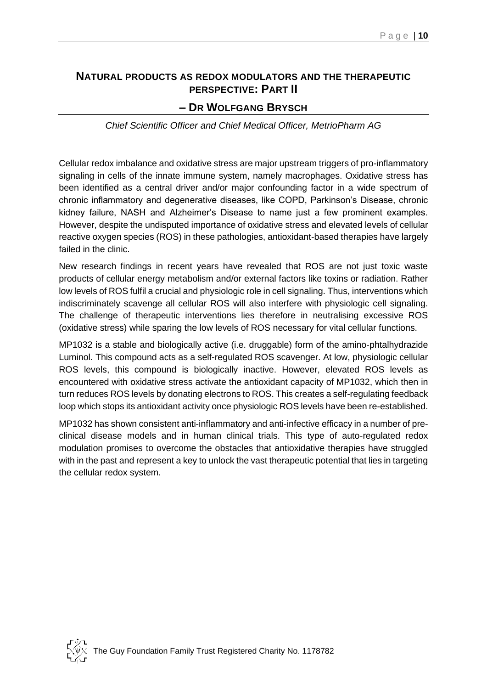### <span id="page-10-1"></span><span id="page-10-0"></span>**NATURAL PRODUCTS AS REDOX MODULATORS AND THE THERAPEUTIC PERSPECTIVE: PART II**

#### **– DR WOLFGANG BRYSCH**

*Chief Scientific Officer and Chief Medical Officer, MetrioPharm AG*

Cellular redox imbalance and oxidative stress are major upstream triggers of pro-inflammatory signaling in cells of the innate immune system, namely macrophages. Oxidative stress has been identified as a central driver and/or major confounding factor in a wide spectrum of chronic inflammatory and degenerative diseases, like COPD, Parkinson's Disease, chronic kidney failure, NASH and Alzheimer's Disease to name just a few prominent examples. However, despite the undisputed importance of oxidative stress and elevated levels of cellular reactive oxygen species (ROS) in these pathologies, antioxidant-based therapies have largely failed in the clinic.

New research findings in recent years have revealed that ROS are not just toxic waste products of cellular energy metabolism and/or external factors like toxins or radiation. Rather low levels of ROS fulfil a crucial and physiologic role in cell signaling. Thus, interventions which indiscriminately scavenge all cellular ROS will also interfere with physiologic cell signaling. The challenge of therapeutic interventions lies therefore in neutralising excessive ROS (oxidative stress) while sparing the low levels of ROS necessary for vital cellular functions.

MP1032 is a stable and biologically active (i.e. druggable) form of the amino-phtalhydrazide Luminol. This compound acts as a self-regulated ROS scavenger. At low, physiologic cellular ROS levels, this compound is biologically inactive. However, elevated ROS levels as encountered with oxidative stress activate the antioxidant capacity of MP1032, which then in turn reduces ROS levels by donating electrons to ROS. This creates a self-regulating feedback loop which stops its antioxidant activity once physiologic ROS levels have been re-established.

MP1032 has shown consistent anti-inflammatory and anti-infective efficacy in a number of preclinical disease models and in human clinical trials. This type of auto-regulated redox modulation promises to overcome the obstacles that antioxidative therapies have struggled with in the past and represent a key to unlock the vast therapeutic potential that lies in targeting the cellular redox system.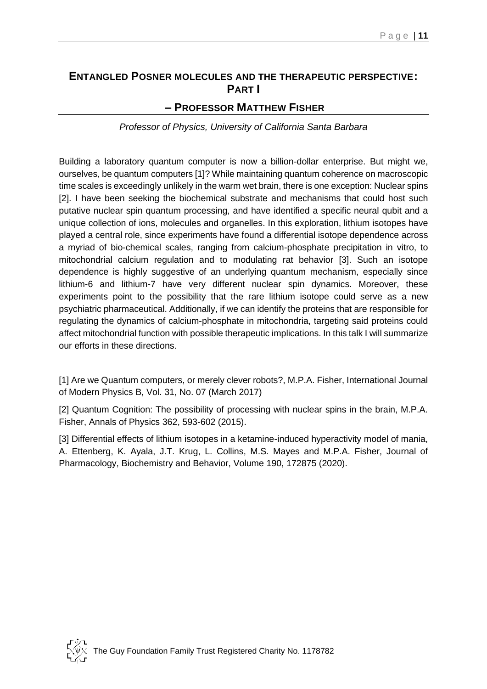## <span id="page-11-0"></span>**ENTANGLED POSNER MOLECULES AND THE THERAPEUTIC PERSPECTIVE: PART I**

#### <span id="page-11-1"></span>**– PROFESSOR MATTHEW FISHER**

*Professor of Physics, University of California Santa Barbara* 

Building a laboratory quantum computer is now a billion-dollar enterprise. But might we, ourselves, be quantum computers [1]? While maintaining quantum coherence on macroscopic time scales is exceedingly unlikely in the warm wet brain, there is one exception: Nuclear spins [2]. I have been seeking the biochemical substrate and mechanisms that could host such putative nuclear spin quantum processing, and have identified a specific neural qubit and a unique collection of ions, molecules and organelles. In this exploration, lithium isotopes have played a central role, since experiments have found a differential isotope dependence across a myriad of bio-chemical scales, ranging from calcium-phosphate precipitation in vitro, to mitochondrial calcium regulation and to modulating rat behavior [3]. Such an isotope dependence is highly suggestive of an underlying quantum mechanism, especially since lithium-6 and lithium-7 have very different nuclear spin dynamics. Moreover, these experiments point to the possibility that the rare lithium isotope could serve as a new psychiatric pharmaceutical. Additionally, if we can identify the proteins that are responsible for regulating the dynamics of calcium-phosphate in mitochondria, targeting said proteins could affect mitochondrial function with possible therapeutic implications. In this talk I will summarize our efforts in these directions.

[1] Are we Quantum computers, or merely clever robots?, M.P.A. Fisher, International Journal of Modern Physics B, Vol. 31, No. 07 (March 2017)

[2] Quantum Cognition: The possibility of processing with nuclear spins in the brain, M.P.A. Fisher, Annals of Physics 362, 593-602 (2015).

[3] Differential effects of lithium isotopes in a ketamine-induced hyperactivity model of mania, A. Ettenberg, K. Ayala, J.T. Krug, L. Collins, M.S. Mayes and M.P.A. Fisher, Journal of Pharmacology, Biochemistry and Behavior, Volume 190, 172875 (2020).

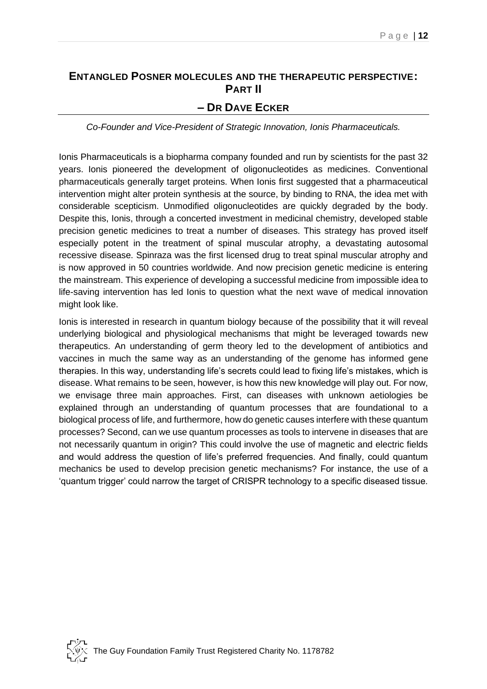## <span id="page-12-1"></span><span id="page-12-0"></span>**ENTANGLED POSNER MOLECULES AND THE THERAPEUTIC PERSPECTIVE: PART II – DR DAVE ECKER**

*Co-Founder and Vice-President of Strategic Innovation, Ionis Pharmaceuticals.*

Ionis Pharmaceuticals is a biopharma company founded and run by scientists for the past 32 years. Ionis pioneered the development of oligonucleotides as medicines. Conventional pharmaceuticals generally target proteins. When Ionis first suggested that a pharmaceutical intervention might alter protein synthesis at the source, by binding to RNA, the idea met with considerable scepticism. Unmodified oligonucleotides are quickly degraded by the body. Despite this, Ionis, through a concerted investment in medicinal chemistry, developed stable precision genetic medicines to treat a number of diseases. This strategy has proved itself especially potent in the treatment of spinal muscular atrophy, a devastating autosomal recessive disease. Spinraza was the first licensed drug to treat spinal muscular atrophy and is now approved in 50 countries worldwide. And now precision genetic medicine is entering the mainstream. This experience of developing a successful medicine from impossible idea to life-saving intervention has led Ionis to question what the next wave of medical innovation might look like.

Ionis is interested in research in quantum biology because of the possibility that it will reveal underlying biological and physiological mechanisms that might be leveraged towards new therapeutics. An understanding of germ theory led to the development of antibiotics and vaccines in much the same way as an understanding of the genome has informed gene therapies. In this way, understanding life's secrets could lead to fixing life's mistakes, which is disease. What remains to be seen, however, is how this new knowledge will play out. For now, we envisage three main approaches. First, can diseases with unknown aetiologies be explained through an understanding of quantum processes that are foundational to a biological process of life, and furthermore, how do genetic causes interfere with these quantum processes? Second, can we use quantum processes as tools to intervene in diseases that are not necessarily quantum in origin? This could involve the use of magnetic and electric fields and would address the question of life's preferred frequencies. And finally, could quantum mechanics be used to develop precision genetic mechanisms? For instance, the use of a 'quantum trigger' could narrow the target of CRISPR technology to a specific diseased tissue.

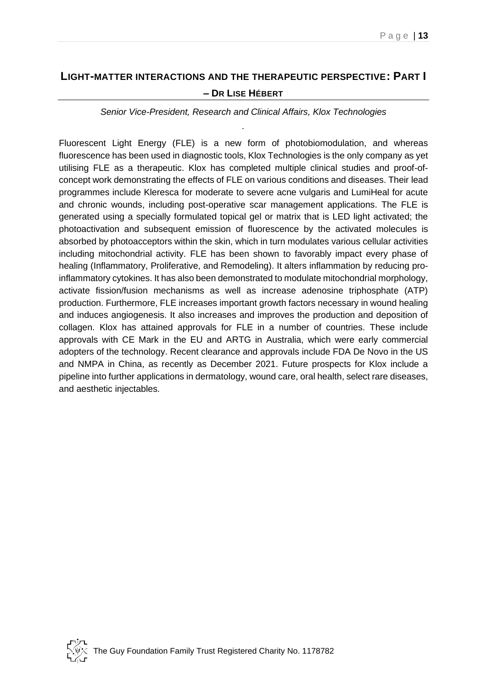# <span id="page-13-1"></span><span id="page-13-0"></span>**LIGHT-MATTER INTERACTIONS AND THE THERAPEUTIC PERSPECTIVE: PART I**

#### **– DR LISE HÉBERT**

*Senior Vice-President, Research and Clinical Affairs, Klox Technologies .*

Fluorescent Light Energy (FLE) is a new form of photobiomodulation, and whereas fluorescence has been used in diagnostic tools, Klox Technologies is the only company as yet utilising FLE as a therapeutic. Klox has completed multiple clinical studies and proof-ofconcept work demonstrating the effects of FLE on various conditions and diseases. Their lead programmes include Kleresca for moderate to severe acne vulgaris and LumiHeal for acute and chronic wounds, including post-operative scar management applications. The FLE is generated using a specially formulated topical gel or matrix that is LED light activated; the photoactivation and subsequent emission of fluorescence by the activated molecules is absorbed by photoacceptors within the skin, which in turn modulates various cellular activities including mitochondrial activity. FLE has been shown to favorably impact every phase of healing (Inflammatory, Proliferative, and Remodeling). It alters inflammation by reducing proinflammatory cytokines. It has also been demonstrated to modulate mitochondrial morphology, activate fission/fusion mechanisms as well as increase adenosine triphosphate (ATP) production. Furthermore, FLE increases important growth factors necessary in wound healing and induces angiogenesis. It also increases and improves the production and deposition of collagen. Klox has attained approvals for FLE in a number of countries. These include approvals with CE Mark in the EU and ARTG in Australia, which were early commercial adopters of the technology. Recent clearance and approvals include FDA De Novo in the US and NMPA in China, as recently as December 2021. Future prospects for Klox include a pipeline into further applications in dermatology, wound care, oral health, select rare diseases, and aesthetic injectables.

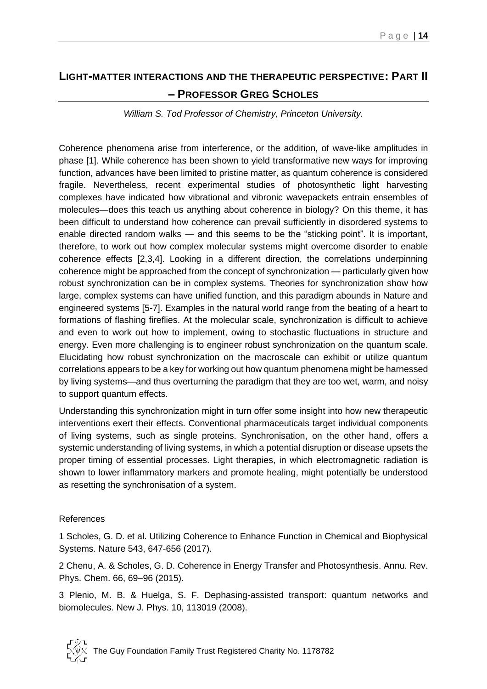# <span id="page-14-1"></span><span id="page-14-0"></span>**LIGHT-MATTER INTERACTIONS AND THE THERAPEUTIC PERSPECTIVE: PART II – PROFESSOR GREG SCHOLES**

*William S. Tod Professor of Chemistry, Princeton University.*

Coherence phenomena arise from interference, or the addition, of wave-like amplitudes in phase [1]. While coherence has been shown to yield transformative new ways for improving function, advances have been limited to pristine matter, as quantum coherence is considered fragile. Nevertheless, recent experimental studies of photosynthetic light harvesting complexes have indicated how vibrational and vibronic wavepackets entrain ensembles of molecules—does this teach us anything about coherence in biology? On this theme, it has been difficult to understand how coherence can prevail sufficiently in disordered systems to enable directed random walks — and this seems to be the "sticking point". It is important, therefore, to work out how complex molecular systems might overcome disorder to enable coherence effects [2,3,4]. Looking in a different direction, the correlations underpinning coherence might be approached from the concept of synchronization — particularly given how robust synchronization can be in complex systems. Theories for synchronization show how large, complex systems can have unified function, and this paradigm abounds in Nature and engineered systems [5-7]. Examples in the natural world range from the beating of a heart to formations of flashing fireflies. At the molecular scale, synchronization is difficult to achieve and even to work out how to implement, owing to stochastic fluctuations in structure and energy. Even more challenging is to engineer robust synchronization on the quantum scale. Elucidating how robust synchronization on the macroscale can exhibit or utilize quantum correlations appears to be a key for working out how quantum phenomena might be harnessed by living systems—and thus overturning the paradigm that they are too wet, warm, and noisy to support quantum effects.

Understanding this synchronization might in turn offer some insight into how new therapeutic interventions exert their effects. Conventional pharmaceuticals target individual components of living systems, such as single proteins. Synchronisation, on the other hand, offers a systemic understanding of living systems, in which a potential disruption or disease upsets the proper timing of essential processes. Light therapies, in which electromagnetic radiation is shown to lower inflammatory markers and promote healing, might potentially be understood as resetting the synchronisation of a system.

#### References

1 Scholes, G. D. et al. Utilizing Coherence to Enhance Function in Chemical and Biophysical Systems. Nature 543, 647-656 (2017).

2 Chenu, A. & Scholes, G. D. Coherence in Energy Transfer and Photosynthesis. Annu. Rev. Phys. Chem. 66, 69–96 (2015).

3 Plenio, M. B. & Huelga, S. F. Dephasing-assisted transport: quantum networks and biomolecules. New J. Phys. 10, 113019 (2008).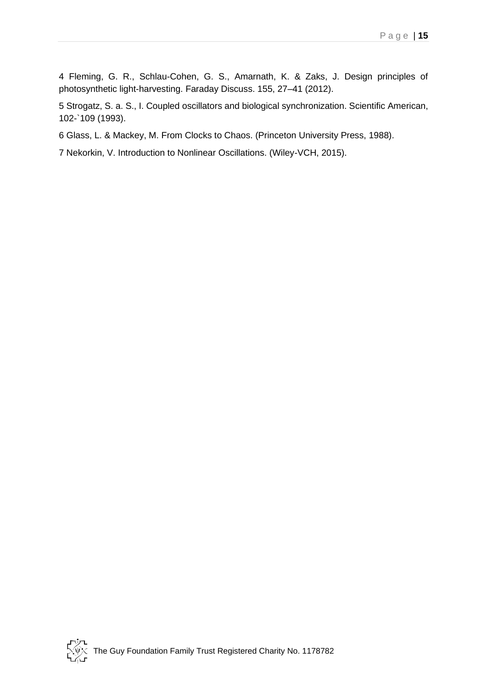4 Fleming, G. R., Schlau-Cohen, G. S., Amarnath, K. & Zaks, J. Design principles of photosynthetic light-harvesting. Faraday Discuss. 155, 27–41 (2012).

5 Strogatz, S. a. S., I. Coupled oscillators and biological synchronization. Scientific American, 102-`109 (1993).

6 Glass, L. & Mackey, M. From Clocks to Chaos. (Princeton University Press, 1988).

7 Nekorkin, V. Introduction to Nonlinear Oscillations. (Wiley-VCH, 2015).

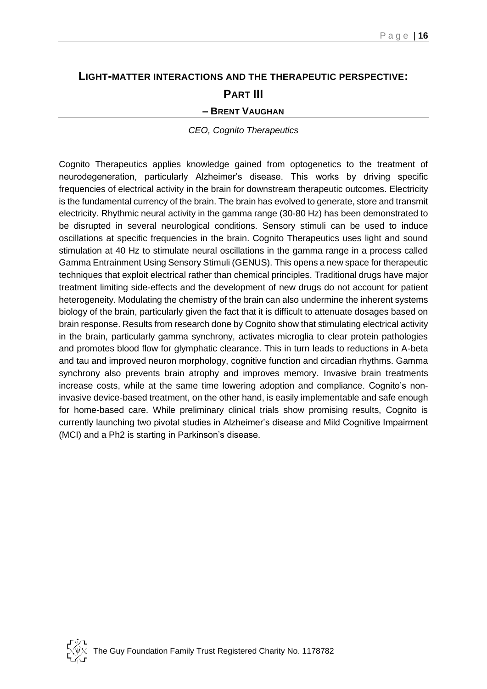# <span id="page-16-2"></span><span id="page-16-1"></span><span id="page-16-0"></span>**LIGHT-MATTER INTERACTIONS AND THE THERAPEUTIC PERSPECTIVE: PART III**

#### **– BRENT VAUGHAN**

*CEO, Cognito Therapeutics*

Cognito Therapeutics applies knowledge gained from optogenetics to the treatment of neurodegeneration, particularly Alzheimer's disease. This works by driving specific frequencies of electrical activity in the brain for downstream therapeutic outcomes. Electricity is the fundamental currency of the brain. The brain has evolved to generate, store and transmit electricity. Rhythmic neural activity in the gamma range (30-80 Hz) has been demonstrated to be disrupted in several neurological conditions. Sensory stimuli can be used to induce oscillations at specific frequencies in the brain. Cognito Therapeutics uses light and sound stimulation at 40 Hz to stimulate neural oscillations in the gamma range in a process called Gamma Entrainment Using Sensory Stimuli (GENUS). This opens a new space for therapeutic techniques that exploit electrical rather than chemical principles. Traditional drugs have major treatment limiting side-effects and the development of new drugs do not account for patient heterogeneity. Modulating the chemistry of the brain can also undermine the inherent systems biology of the brain, particularly given the fact that it is difficult to attenuate dosages based on brain response. Results from research done by Cognito show that stimulating electrical activity in the brain, particularly gamma synchrony, activates microglia to clear protein pathologies and promotes blood flow for glymphatic clearance. This in turn leads to reductions in A-beta and tau and improved neuron morphology, cognitive function and circadian rhythms. Gamma synchrony also prevents brain atrophy and improves memory. Invasive brain treatments increase costs, while at the same time lowering adoption and compliance. Cognito's noninvasive device-based treatment, on the other hand, is easily implementable and safe enough for home-based care. While preliminary clinical trials show promising results, Cognito is currently launching two pivotal studies in Alzheimer's disease and Mild Cognitive Impairment (MCI) and a Ph2 is starting in Parkinson's disease.

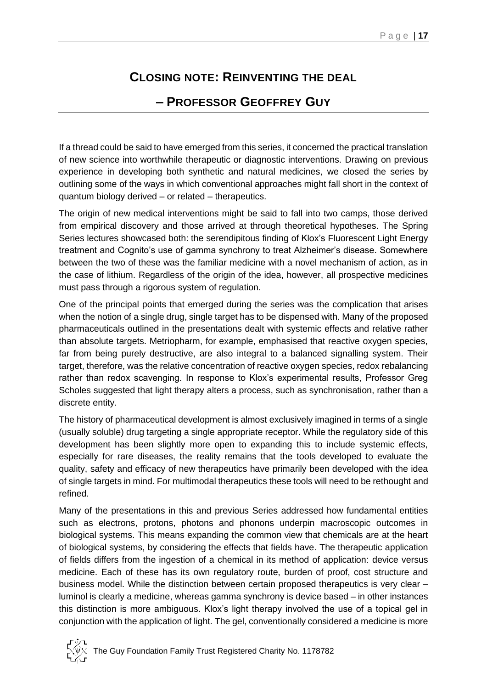# **CLOSING NOTE: REINVENTING THE DEAL**

## **– PROFESSOR GEOFFREY GUY**

<span id="page-17-1"></span><span id="page-17-0"></span>If a thread could be said to have emerged from this series, it concerned the practical translation of new science into worthwhile therapeutic or diagnostic interventions. Drawing on previous experience in developing both synthetic and natural medicines, we closed the series by outlining some of the ways in which conventional approaches might fall short in the context of quantum biology derived – or related – therapeutics.

The origin of new medical interventions might be said to fall into two camps, those derived from empirical discovery and those arrived at through theoretical hypotheses. The Spring Series lectures showcased both: the serendipitous finding of Klox's Fluorescent Light Energy treatment and Cognito's use of gamma synchrony to treat Alzheimer's disease. Somewhere between the two of these was the familiar medicine with a novel mechanism of action, as in the case of lithium. Regardless of the origin of the idea, however, all prospective medicines must pass through a rigorous system of regulation.

One of the principal points that emerged during the series was the complication that arises when the notion of a single drug, single target has to be dispensed with. Many of the proposed pharmaceuticals outlined in the presentations dealt with systemic effects and relative rather than absolute targets. Metriopharm, for example, emphasised that reactive oxygen species, far from being purely destructive, are also integral to a balanced signalling system. Their target, therefore, was the relative concentration of reactive oxygen species, redox rebalancing rather than redox scavenging. In response to Klox's experimental results, Professor Greg Scholes suggested that light therapy alters a process, such as synchronisation, rather than a discrete entity.

The history of pharmaceutical development is almost exclusively imagined in terms of a single (usually soluble) drug targeting a single appropriate receptor. While the regulatory side of this development has been slightly more open to expanding this to include systemic effects, especially for rare diseases, the reality remains that the tools developed to evaluate the quality, safety and efficacy of new therapeutics have primarily been developed with the idea of single targets in mind. For multimodal therapeutics these tools will need to be rethought and refined.

Many of the presentations in this and previous Series addressed how fundamental entities such as electrons, protons, photons and phonons underpin macroscopic outcomes in biological systems. This means expanding the common view that chemicals are at the heart of biological systems, by considering the effects that fields have. The therapeutic application of fields differs from the ingestion of a chemical in its method of application: device versus medicine. Each of these has its own regulatory route, burden of proof, cost structure and business model. While the distinction between certain proposed therapeutics is very clear – luminol is clearly a medicine, whereas gamma synchrony is device based – in other instances this distinction is more ambiguous. Klox's light therapy involved the use of a topical gel in conjunction with the application of light. The gel, conventionally considered a medicine is more